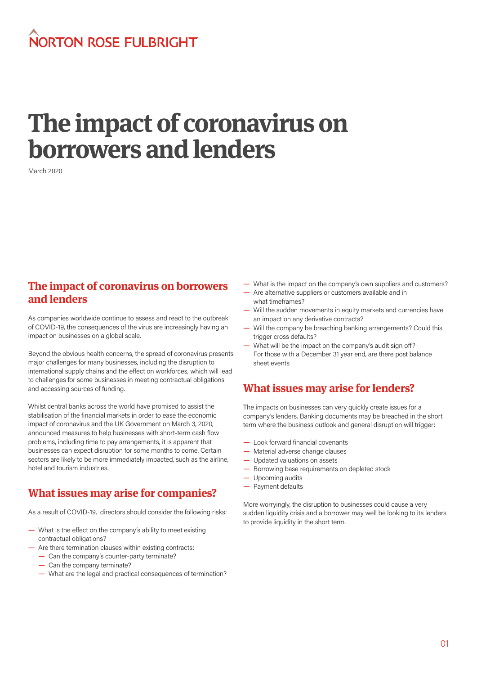## NORTON ROSE FULBRIGHT

# **The impact of coronavirus on borrowers and lenders**

March 2020

#### **The impact of coronavirus on borrowers and lenders**

As companies worldwide continue to assess and react to the outbreak of COVID-19, the consequences of the virus are increasingly having an impact on businesses on a global scale.

Beyond the obvious health concerns, the spread of coronavirus presents major challenges for many businesses, including the disruption to international supply chains and the effect on workforces, which will lead to challenges for some businesses in meeting contractual obligations and accessing sources of funding.

Whilst central banks across the world have promised to assist the stabilisation of the financial markets in order to ease the economic impact of coronavirus and the UK Government on March 3, 2020, announced measures to help businesses with short-term cash flow problems, including time to pay arrangements, it is apparent that businesses can expect disruption for some months to come. Certain sectors are likely to be more immediately impacted, such as the airline, hotel and tourism industries.

#### **What issues may arise for companies?**

As a result of COVID-19, directors should consider the following risks:

- What is the effect on the company's ability to meet existing contractual obligations?
- Are there termination clauses within existing contracts:
	- Can the company's counter-party terminate?
	- Can the company terminate?
	- What are the legal and practical consequences of termination?
- What is the impact on the company's own suppliers and customers?
- Are alternative suppliers or customers available and in what timeframes?
- Will the sudden movements in equity markets and currencies have an impact on any derivative contracts?
- Will the company be breaching banking arrangements? Could this trigger cross defaults?
- What will be the impact on the company's audit sign off? For those with a December 31 year end, are there post balance sheet events

#### **What issues may arise for lenders?**

The impacts on businesses can very quickly create issues for a company's lenders. Banking documents may be breached in the short term where the business outlook and general disruption will trigger:

- Look forward financial covenants
- Material adverse change clauses
- Updated valuations on assets
- Borrowing base requirements on depleted stock
- Upcoming audits
- Payment defaults

More worryingly, the disruption to businesses could cause a very sudden liquidity crisis and a borrower may well be looking to its lenders to provide liquidity in the short term.